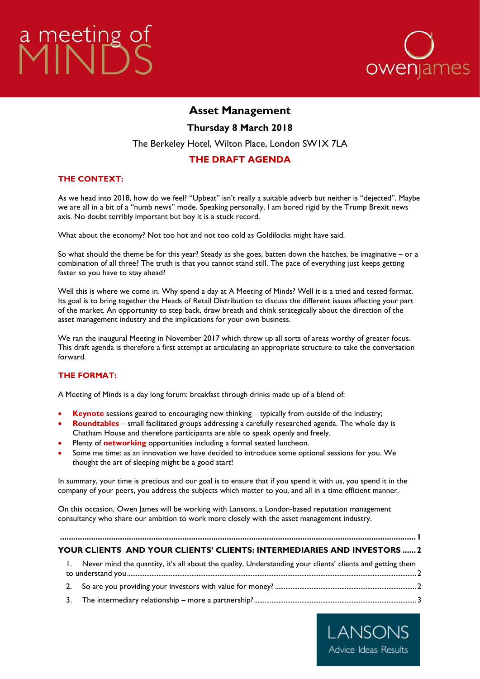# <span id="page-0-0"></span>a meeting o



# **Asset Management**

**Thursday 8 March 2018**

The Berkeley Hotel, Wilton Place, London SW1X 7LA

# **THE DRAFT AGENDA**

## **THE CONTEXT:**

As we head into 2018, how do we feel? "Upbeat" isn't really a suitable adverb but neither is "dejected". Maybe we are all in a bit of a "numb news" mode. Speaking personally, I am bored rigid by the Trump Brexit news axis. No doubt terribly important but boy it is a stuck record.

What about the economy? Not too hot and not too cold as Goldilocks might have said.

So what should the theme be for this year? Steady as she goes, batten down the hatches, be imaginative – or a combination of all three? The truth is that you cannot stand still. The pace of everything just keeps getting faster so you have to stay ahead?

Well this is where we come in. Why spend a day at A Meeting of Minds? Well it is a tried and tested format. Its goal is to bring together the Heads of Retail Distribution to discuss the different issues affecting your part of the market. An opportunity to step back, draw breath and think strategically about the direction of the asset management industry and the implications for your own business.

We ran the inaugural Meeting in November 2017 which threw up all sorts of areas worthy of greater focus. This draft agenda is therefore a first attempt at articulating an appropriate structure to take the conversation forward.

#### **THE FORMAT:**

A Meeting of Minds is a day long forum: breakfast through drinks made up of a blend of:

- **Keynote** sessions geared to encouraging new thinking typically from outside of the industry;
- **Roundtables** small facilitated groups addressing a carefully researched agenda. The whole day is Chatham House and therefore participants are able to speak openly and freely.
- Plenty of **networking** opportunities including a formal seated luncheon.
- Some me time: as an innovation we have decided to introduce some optional sessions for you. We thought the art of sleeping might be a good start!

In summary, your time is precious and our goal is to ensure that if you spend it with us, you spend it in the company of your peers, you address the subjects which matter to you, and all in a time efficient manner.

On this occasion, Owen James will be working with Lansons, a London-based reputation management consultancy who share our ambition to work more closely with the asset management industry.

#### **[................................................................................................................................................................](#page-0-0) 1 [YOUR CLIENTS AND YOUR CLIENTS' CLIENTS: INTERMEDIARIES AND INVESTORS](#page-1-0) ......2**

# 1. [Never mind the quantity, it's all about the quality. Understanding your clients' clients and getting them](#page-1-1)  [to understand you......................................................................................................................................................................](#page-1-1) 2

- 2. [So are you providing your investors with value for money?](#page-1-2) ................................................................................. 2
- 3. The intermediary relationship [more a partnership?.............................................................................................](#page-2-0) 3

LANSONS Advice Ideas Results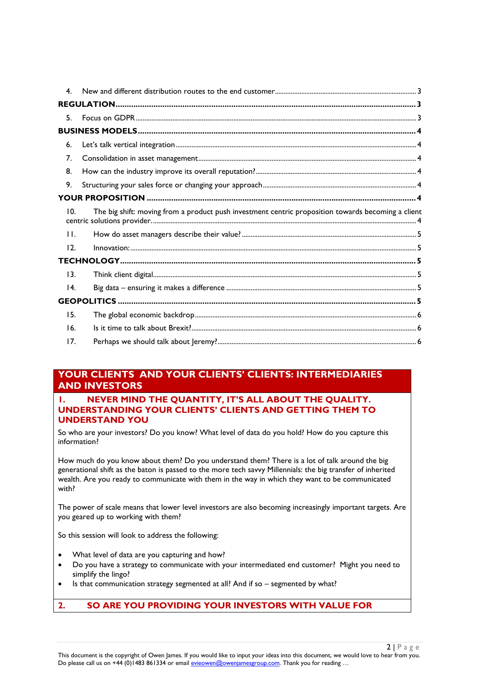| 4.              |                                                                                                    |  |  |
|-----------------|----------------------------------------------------------------------------------------------------|--|--|
|                 |                                                                                                    |  |  |
| 5.              |                                                                                                    |  |  |
|                 |                                                                                                    |  |  |
| 6.              |                                                                                                    |  |  |
| 7.              |                                                                                                    |  |  |
| 8.              |                                                                                                    |  |  |
| 9.              |                                                                                                    |  |  |
|                 |                                                                                                    |  |  |
| 10.             | The big shift: moving from a product push investment centric proposition towards becoming a client |  |  |
| $\mathbf{H}$ .  |                                                                                                    |  |  |
| 12.             |                                                                                                    |  |  |
|                 |                                                                                                    |  |  |
| 13.             |                                                                                                    |  |  |
| $\overline{14}$ |                                                                                                    |  |  |
|                 |                                                                                                    |  |  |
| 15.             |                                                                                                    |  |  |
| 16.             |                                                                                                    |  |  |
| 17.             |                                                                                                    |  |  |

# <span id="page-1-0"></span>**YOUR CLIENTS AND YOUR CLIENTS' CLIENTS: INTERMEDIARIES AND INVESTORS**

#### <span id="page-1-1"></span>**1. NEVER MIND THE QUANTITY, IT'S ALL ABOUT THE QUALITY. UNDERSTANDING YOUR CLIENTS' CLIENTS AND GETTING THEM TO UNDERSTAND YOU**

So who are your investors? Do you know? What level of data do you hold? How do you capture this information?

How much do you know about them? Do you understand them? There is a lot of talk around the big generational shift as the baton is passed to the more tech savvy Millennials: the big transfer of inherited wealth. Are you ready to communicate with them in the way in which they want to be communicated with?

The power of scale means that lower level investors are also becoming increasingly important targets. Are you geared up to working with them?

So this session will look to address the following:

- What level of data are you capturing and how?
- Do you have a strategy to communicate with your intermediated end customer? Might you need to simplify the lingo?
- Is that communication strategy segmented at all? And if so segmented by what?

# <span id="page-1-2"></span>**2. SO ARE YOU PROVIDING YOUR INVESTORS WITH VALUE FOR**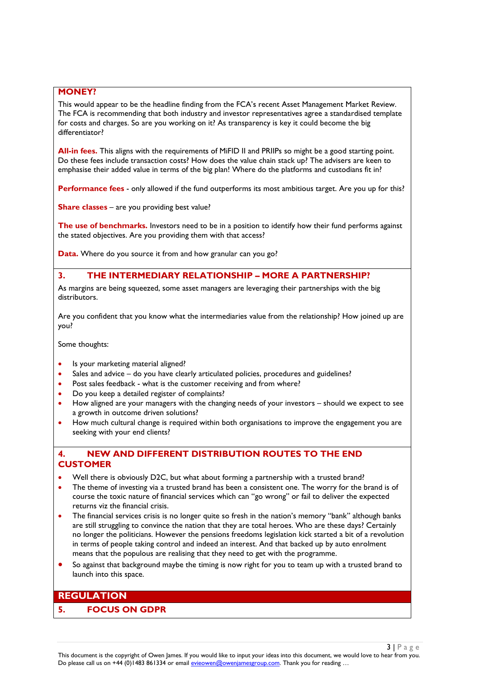#### **MONEY?**

This would appear to be the headline finding from the FCA's recent Asset Management Market Review. The FCA is recommending that both industry and investor representatives agree a standardised template for costs and charges. So are you working on it? As transparency is key it could become the big differentiator?

**All-in fees.** This aligns with the requirements of MiFID II and PRIIPs so might be a good starting point. Do these fees include transaction costs? How does the value chain stack up? The advisers are keen to emphasise their added value in terms of the big plan! Where do the platforms and custodians fit in?

**Performance fees** - only allowed if the fund outperforms its most ambitious target. Are you up for this?

**Share classes** – are you providing best value?

**The use of benchmarks.** Investors need to be in a position to identify how their fund performs against the stated objectives. Are you providing them with that access?

**Data.** Where do you source it from and how granular can you go?

## <span id="page-2-0"></span>**3. THE INTERMEDIARY RELATIONSHIP – MORE A PARTNERSHIP?**

As margins are being squeezed, some asset managers are leveraging their partnerships with the big distributors.

Are you confident that you know what the intermediaries value from the relationship? How joined up are you?

Some thoughts:

- Is your marketing material aligned?
- Sales and advice do you have clearly articulated policies, procedures and guidelines?
- Post sales feedback what is the customer receiving and from where?
- Do you keep a detailed register of complaints?
- How aligned are your managers with the changing needs of your investors should we expect to see a growth in outcome driven solutions?
- How much cultural change is required within both organisations to improve the engagement you are seeking with your end clients?

### <span id="page-2-1"></span>**4. NEW AND DIFFERENT DISTRIBUTION ROUTES TO THE END CUSTOMER**

- Well there is obviously D2C, but what about forming a partnership with a trusted brand?
- The theme of investing via a trusted brand has been a consistent one. The worry for the brand is of course the toxic nature of financial services which can "go wrong" or fail to deliver the expected returns viz the financial crisis.
- The financial services crisis is no longer quite so fresh in the nation's memory "bank" although banks are still struggling to convince the nation that they are total heroes. Who are these days? Certainly no longer the politicians. However the pensions freedoms legislation kick started a bit of a revolution in terms of people taking control and indeed an interest. And that backed up by auto enrolment means that the populous are realising that they need to get with the programme.
- So against that background maybe the timing is now right for you to team up with a trusted brand to launch into this space.

# <span id="page-2-2"></span>**REGULATION**

#### <span id="page-2-3"></span>**5. FOCUS ON GDPR**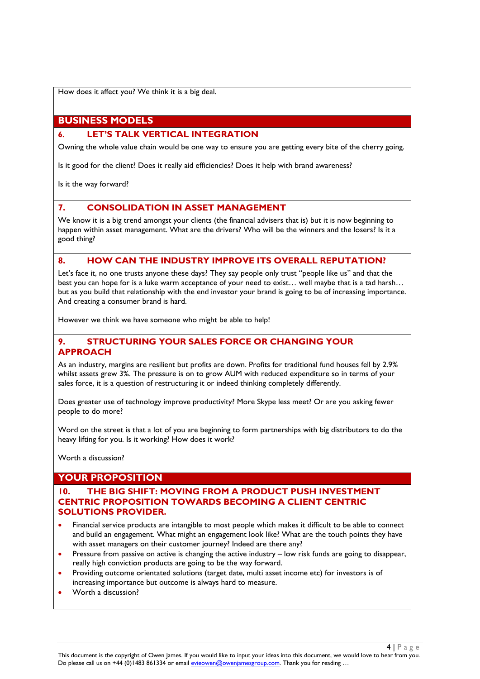How does it affect you? We think it is a big deal.

# <span id="page-3-0"></span>**BUSINESS MODELS**

#### <span id="page-3-1"></span>**6. LET'S TALK VERTICAL INTEGRATION**

Owning the whole value chain would be one way to ensure you are getting every bite of the cherry going.

Is it good for the client? Does it really aid efficiencies? Does it help with brand awareness?

Is it the way forward?

## <span id="page-3-2"></span>**7. CONSOLIDATION IN ASSET MANAGEMENT**

We know it is a big trend amongst your clients (the financial advisers that is) but it is now beginning to happen within asset management. What are the drivers? Who will be the winners and the losers? Is it a good thing?

#### <span id="page-3-3"></span>**8. HOW CAN THE INDUSTRY IMPROVE ITS OVERALL REPUTATION?**

Let's face it, no one trusts anyone these days? They say people only trust "people like us" and that the best you can hope for is a luke warm acceptance of your need to exist… well maybe that is a tad harsh… but as you build that relationship with the end investor your brand is going to be of increasing importance. And creating a consumer brand is hard.

However we think we have someone who might be able to help!

#### <span id="page-3-4"></span>**9. STRUCTURING YOUR SALES FORCE OR CHANGING YOUR APPROACH**

As an industry, margins are resilient but profits are down. Profits for traditional fund houses fell by 2.9% whilst assets grew 3%. The pressure is on to grow AUM with reduced expenditure so in terms of your sales force, it is a question of restructuring it or indeed thinking completely differently.

Does greater use of technology improve productivity? More Skype less meet? Or are you asking fewer people to do more?

Word on the street is that a lot of you are beginning to form partnerships with big distributors to do the heavy lifting for you. Is it working? How does it work?

Worth a discussion?

# <span id="page-3-5"></span>**YOUR PROPOSITION**

#### <span id="page-3-6"></span>**10. THE BIG SHIFT: MOVING FROM A PRODUCT PUSH INVESTMENT CENTRIC PROPOSITION TOWARDS BECOMING A CLIENT CENTRIC SOLUTIONS PROVIDER.**

- Financial service products are intangible to most people which makes it difficult to be able to connect and build an engagement. What might an engagement look like? What are the touch points they have with asset managers on their customer journey? Indeed are there any?
- Pressure from passive on active is changing the active industry low risk funds are going to disappear, really high conviction products are going to be the way forward.
- Providing outcome orientated solutions (target date, multi asset income etc) for investors is of increasing importance but outcome is always hard to measure.
- Worth a discussion?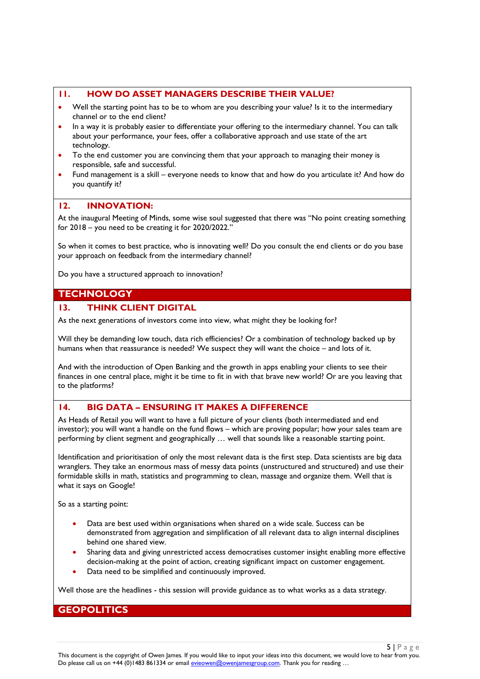#### <span id="page-4-0"></span>**11. HOW DO ASSET MANAGERS DESCRIBE THEIR VALUE?**

- Well the starting point has to be to whom are you describing your value? Is it to the intermediary channel or to the end client?
- In a way it is probably easier to differentiate your offering to the intermediary channel. You can talk about your performance, your fees, offer a collaborative approach and use state of the art technology.
- To the end customer you are convincing them that your approach to managing their money is responsible, safe and successful.
- Fund management is a skill everyone needs to know that and how do you articulate it? And how do you quantify it?

## <span id="page-4-1"></span>**12. INNOVATION:**

At the inaugural Meeting of Minds, some wise soul suggested that there was "No point creating something for 2018 – you need to be creating it for 2020/2022."

So when it comes to best practice, who is innovating well? Do you consult the end clients or do you base your approach on feedback from the intermediary channel?

Do you have a structured approach to innovation?

## <span id="page-4-2"></span>**TECHNOLOGY**

#### <span id="page-4-3"></span>**13. THINK CLIENT DIGITAL**

As the next generations of investors come into view, what might they be looking for?

Will they be demanding low touch, data rich efficiencies? Or a combination of technology backed up by humans when that reassurance is needed? We suspect they will want the choice – and lots of it.

And with the introduction of Open Banking and the growth in apps enabling your clients to see their finances in one central place, might it be time to fit in with that brave new world? Or are you leaving that to the platforms?

# <span id="page-4-4"></span>**14. BIG DATA – ENSURING IT MAKES A DIFFERENCE**

As Heads of Retail you will want to have a full picture of your clients (both intermediated and end investor); you will want a handle on the fund flows – which are proving popular; how your sales team are performing by client segment and geographically … well that sounds like a reasonable starting point.

Identification and prioritisation of only the most relevant data is the first step. Data scientists are big data wranglers. They take an enormous mass of messy data points (unstructured and structured) and use their formidable skills in math, statistics and programming to clean, massage and organize them. Well that is what it says on Google!

So as a starting point:

- Data are best used within organisations when shared on a wide scale. Success can be demonstrated from aggregation and simplification of all relevant data to align internal disciplines behind one shared view.
- Sharing data and giving unrestricted access democratises customer insight enabling more effective decision-making at the point of action, creating significant impact on customer engagement.
- Data need to be simplified and continuously improved.

Well those are the headlines - this session will provide guidance as to what works as a data strategy.

# <span id="page-4-5"></span>**GEOPOLITICS**